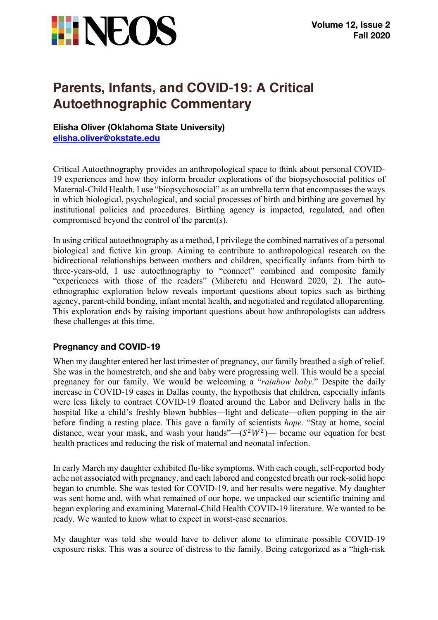

# **Parents, Infants, and COVID-19: A Critical Autoethnographic Commentary**

## **Elisha Oliver (Oklahoma State University) elisha.oliver@okstate.edu**

Critical Autoethnography provides an anthropological space to think about personal COVID-19 experiences and how they inform broader explorations of the biopsychosocial politics of Maternal-Child Health. I use "biopsychosocial" as an umbrella term that encompasses the ways in which biological, psychological, and social processes of birth and birthing are governed by institutional policies and procedures. Birthing agency is impacted, regulated, and often compromised beyond the control of the parent(s).

In using critical autoethnography as a method, I privilege the combined narratives of a personal biological and fictive kin group. Aiming to contribute to anthropological research on the bidirectional relationships between mothers and children, specifically infants from birth to three-years-old, I use autoethnography to "connect" combined and composite family "experiences with those of the readers" (Miheretu and Henward 2020, 2). The autoethnographic exploration below reveals important questions about topics such as birthing agency, parent-child bonding, infant mental health, and negotiated and regulated alloparenting. This exploration ends by raising important questions about how anthropologists can address these challenges at this time.

## **Pregnancy and COVID-19**

When my daughter entered her last trimester of pregnancy, our family breathed a sigh of relief. She was in the homestretch, and she and baby were progressing well. This would be a special pregnancy for our family. We would be welcoming a "*rainbow baby*." Despite the daily increase in COVID-19 cases in Dallas county, the hypothesis that children, especially infants were less likely to contract COVID-19 floated around the Labor and Delivery halls in the hospital like a child's freshly blown bubbles—light and delicate—often popping in the air before finding a resting place. This gave a family of scientists *hope.* "Stay at home, social distance, wear your mask, and wash your hands"— $(S^2W^2)$ — became our equation for best health practices and reducing the risk of maternal and neonatal infection.

In early March my daughter exhibited flu-like symptoms. With each cough, self-reported body ache not associated with pregnancy, and each labored and congested breath our rock-solid hope began to crumble. She was tested for COVID-19, and her results were negative. My daughter was sent home and, with what remained of our hope, we unpacked our scientific training and began exploring and examining Maternal-Child Health COVID-19 literature. We wanted to be ready. We wanted to know what to expect in worst-case scenarios.

My daughter was told she would have to deliver alone to eliminate possible COVID-19 exposure risks. This was a source of distress to the family. Being categorized as a "high-risk